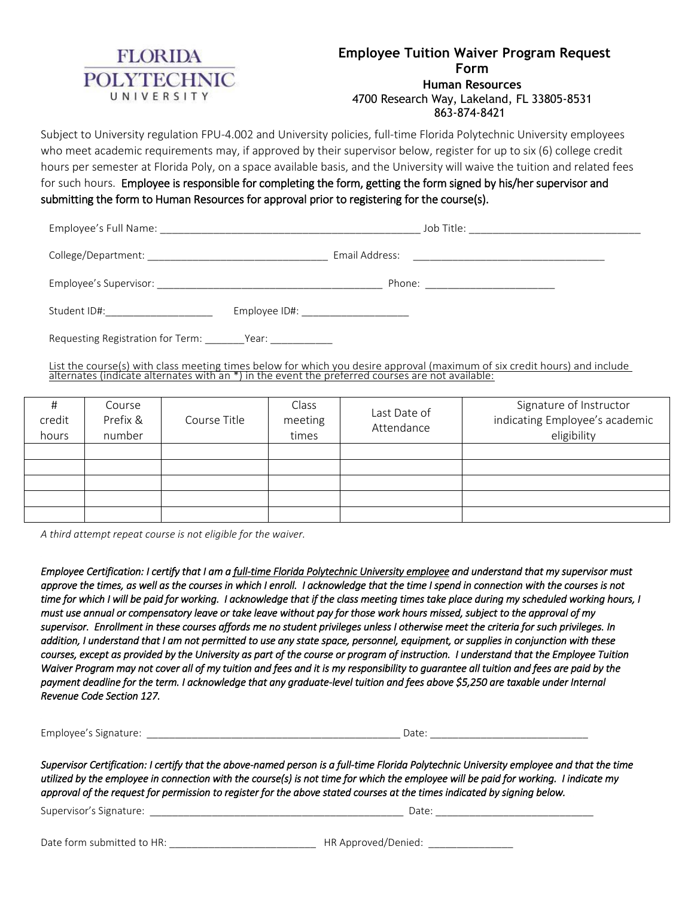

Subject to University regulation FPU-4.002 and University policies, full-time Florida Polytechnic University employees who meet academic requirements may, if approved by their supervisor below, register for up to six (6) college credit hours per semester at Florida Poly, on a space available basis, and the University will waive the tuition and related fees for such hours. Employee is responsible for completing the form, getting the form signed by his/her supervisor and submitting the form to Human Resources for approval prior to registering for the course(s).

|                                   | Job Title: _______________________________                                                                                                                                                                                           |
|-----------------------------------|--------------------------------------------------------------------------------------------------------------------------------------------------------------------------------------------------------------------------------------|
|                                   | Email Address:<br><u> 2001 - Jan Barbarat, manager eta industrial eta industrial eta industrial eta industrial eta industrial eta i</u>                                                                                              |
| Employee's Supervisor:            | Phone: ________________________                                                                                                                                                                                                      |
| Student ID#:                      | Employee ID#: _____________________                                                                                                                                                                                                  |
| Requesting Registration for Term: | <b>Primary Primary Primary Primary Primary Primary Primary Primary Primary Primary Primary Primary Primary Primary Primary Primary Primary Primary Primary Primary Primary Primary Primary Primary Primary Primary Primary Prima</b> |

List the course(s) with class meeting times below for which you desire approval (maximum of six credit hours) and include alternates (indicate alternates with an \*) in the event the preferred courses are not available:

| Ħ<br>credit<br>hours | Course<br>Prefix &<br>number | Course Title | Class<br>meeting<br>times | Last Date of<br>Attendance | Signature of Instructor<br>indicating Employee's academic<br>eligibility |
|----------------------|------------------------------|--------------|---------------------------|----------------------------|--------------------------------------------------------------------------|
|                      |                              |              |                           |                            |                                                                          |
|                      |                              |              |                           |                            |                                                                          |
|                      |                              |              |                           |                            |                                                                          |
|                      |                              |              |                           |                            |                                                                          |
|                      |                              |              |                           |                            |                                                                          |

*A third attempt repeat course is not eligible for the waiver.*

*Employee Certification: I certify that I am a full-time Florida Polytechnic University employee and understand that my supervisor must approve the times, as well as the courses in which I enroll. I acknowledge that the time I spend in connection with the courses is not time for which I will be paid for working. I acknowledge that if the class meeting times take place during my scheduled working hours, I must use annual or compensatory leave or take leave without pay for those work hours missed, subject to the approval of my supervisor. Enrollment in these courses affords me no student privileges unless I otherwise meet the criteria for such privileges. In addition, I understand that I am not permitted to use any state space, personnel, equipment, or supplies in conjunction with these courses, except as provided by the University as part of the course or program of instruction. I understand that the Employee Tuition Waiver Program may not cover all of my tuition and fees and it is my responsibility to guarantee all tuition and fees are paid by the payment deadline for the term. I acknowledge that any graduate-level tuition and fees above \$5,250 are taxable under Internal Revenue Code Section 127.* 

Employee's Signature:  $\Box$ 

*Supervisor Certification: I certify that the above-named person is a full-time Florida Polytechnic University employee and that the time utilized by the employee in connection with the course(s) is not time for which the employee will be paid for working. I indicate my approval of the request for permission to register for the above stated courses at the times indicated by signing below.* 

Supervisor's Signature: \_\_\_\_\_\_\_\_\_\_\_\_\_\_\_\_\_\_\_\_\_\_\_\_\_\_\_\_\_\_\_\_\_\_\_\_\_\_\_\_\_\_\_\_\_ Date: \_\_\_\_\_\_\_\_\_\_\_\_\_\_\_\_\_\_\_\_\_\_\_\_\_\_\_\_

Date form submitted to HR: \_\_\_\_\_\_\_\_\_\_\_\_\_\_\_\_\_\_\_\_\_\_\_\_\_\_ HR Approved/Denied: \_\_\_\_\_\_\_\_\_\_\_\_\_\_\_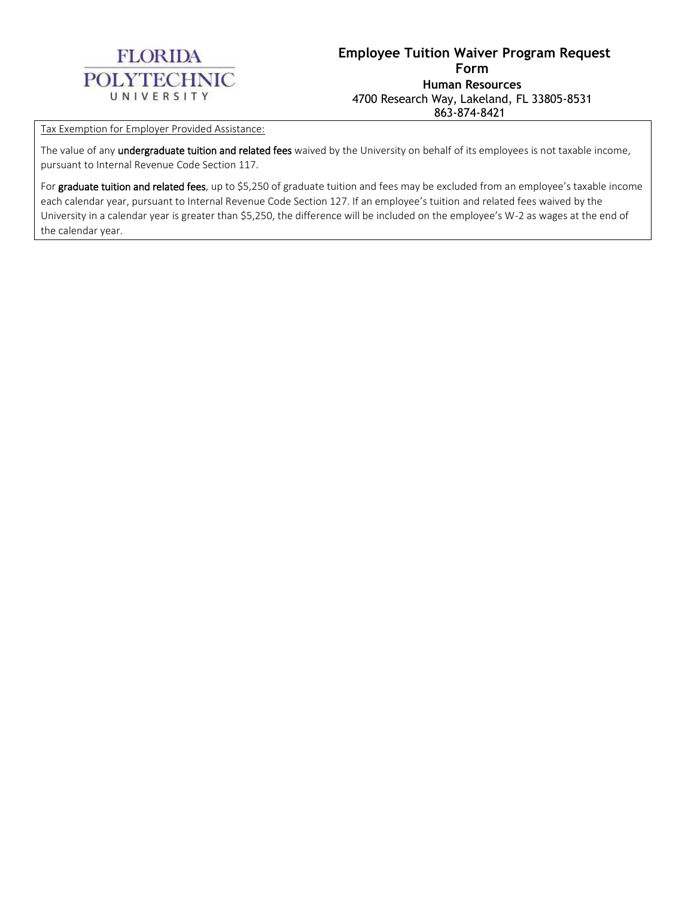

Tax Exemption for Employer Provided Assistance:

The value of any undergraduate tuition and related fees waived by the University on behalf of its employees is not taxable income, pursuant to Internal Revenue Code Section 117.

For graduate tuition and related fees, up to \$5,250 of graduate tuition and fees may be excluded from an employee's taxable income each calendar year, pursuant to Internal Revenue Code Section 127. If an employee's tuition and related fees waived by the University in a calendar year is greater than \$5,250, the difference will be included on the employee's W-2 as wages at the end of the calendar year.